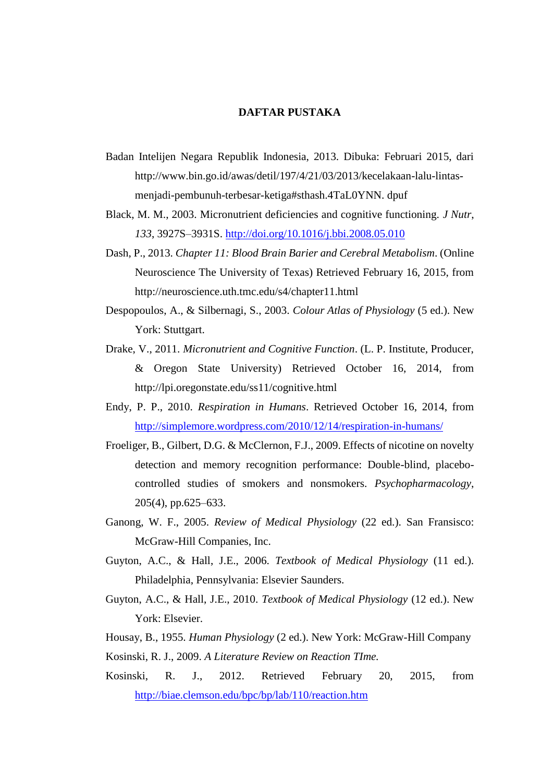## **DAFTAR PUSTAKA**

- Badan Intelijen Negara Republik Indonesia, 2013. Dibuka: Februari 2015, dari http://www.bin.go.id/awas/detil/197/4/21/03/2013/kecelakaan-lalu-lintasmenjadi-pembunuh-terbesar-ketiga#sthash.4TaL0YNN. dpuf
- Black, M. M., 2003. Micronutrient deficiencies and cognitive functioning. *J Nutr*, *133*, 3927S–3931S.<http://doi.org/10.1016/j.bbi.2008.05.010>
- Dash, P., 2013. *Chapter 11: Blood Brain Barier and Cerebral Metabolism*. (Online Neuroscience The University of Texas) Retrieved February 16, 2015, from http://neuroscience.uth.tmc.edu/s4/chapter11.html
- Despopoulos, A., & Silbernagi, S., 2003. *Colour Atlas of Physiology* (5 ed.). New York: Stuttgart.
- Drake, V., 2011. *Micronutrient and Cognitive Function*. (L. P. Institute, Producer, & Oregon State University) Retrieved October 16, 2014, from http://lpi.oregonstate.edu/ss11/cognitive.html
- Endy, P. P., 2010. *Respiration in Humans*. Retrieved October 16, 2014, from <http://simplemore.wordpress.com/2010/12/14/respiration-in-humans/>
- Froeliger, B., Gilbert, D.G. & McClernon, F.J., 2009. Effects of nicotine on novelty detection and memory recognition performance: Double-blind, placebocontrolled studies of smokers and nonsmokers. *Psychopharmacology*, 205(4), pp.625–633.
- Ganong, W. F., 2005. *Review of Medical Physiology* (22 ed.). San Fransisco: McGraw-Hill Companies, Inc.
- Guyton, A.C., & Hall, J.E., 2006. *Textbook of Medical Physiology* (11 ed.). Philadelphia, Pennsylvania: Elsevier Saunders.
- Guyton, A.C., & Hall, J.E., 2010. *Textbook of Medical Physiology* (12 ed.). New York: Elsevier.
- Housay, B., 1955. *Human Physiology* (2 ed.). New York: McGraw-Hill Company
- Kosinski, R. J., 2009. *A Literature Review on Reaction TIme.*
- Kosinski, R. J., 2012. Retrieved February 20, 2015, from <http://biae.clemson.edu/bpc/bp/lab/110/reaction.htm>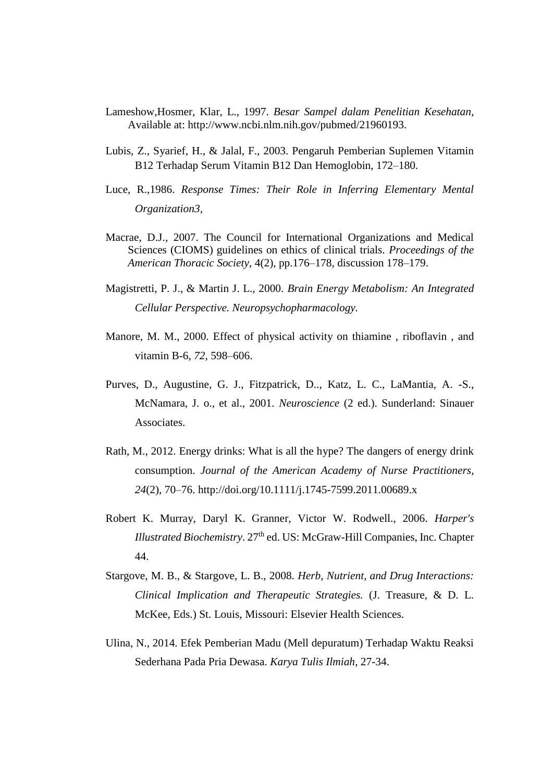- Lameshow,Hosmer, Klar, L., 1997. *Besar Sampel dalam Penelitian Kesehatan*, Available at: http://www.ncbi.nlm.nih.gov/pubmed/21960193.
- Lubis, Z., Syarief, H., & Jalal, F., 2003. Pengaruh Pemberian Suplemen Vitamin B12 Terhadap Serum Vitamin B12 Dan Hemoglobin, 172–180.
- Luce, R.,1986. *Response Times: Their Role in Inferring Elementary Mental Organization3*,
- Macrae, D.J., 2007. The Council for International Organizations and Medical Sciences (CIOMS) guidelines on ethics of clinical trials. *Proceedings of the American Thoracic Society*, 4(2), pp.176–178, discussion 178–179.
- Magistretti, P. J., & Martin J. L., 2000. *Brain Energy Metabolism: An Integrated Cellular Perspective. Neuropsychopharmacology.*
- Manore, M. M., 2000. Effect of physical activity on thiamine , riboflavin , and vitamin B-6, *72*, 598–606.
- Purves, D., Augustine, G. J., Fitzpatrick, D.., Katz, L. C., LaMantia, A. -S., McNamara, J. o., et al., 2001. *Neuroscience* (2 ed.). Sunderland: Sinauer Associates.
- Rath, M., 2012. Energy drinks: What is all the hype? The dangers of energy drink consumption. *Journal of the American Academy of Nurse Practitioners*, *24*(2), 70–76. http://doi.org/10.1111/j.1745-7599.2011.00689.x
- Robert K. Murray, Daryl K. Granner, Victor W. Rodwell., 2006*. Harper's Illustrated Biochemistry.* 27<sup>th</sup> ed. US: McGraw-Hill Companies, Inc. Chapter 44.
- Stargove, M. B., & Stargove, L. B., 2008. *Herb, Nutrient, and Drug Interactions: Clinical Implication and Therapeutic Strategies.* (J. Treasure, & D. L. McKee, Eds.) St. Louis, Missouri: Elsevier Health Sciences.
- Ulina, N., 2014. Efek Pemberian Madu (Mell depuratum) Terhadap Waktu Reaksi Sederhana Pada Pria Dewasa. *Karya Tulis Ilmiah*, 27-34.